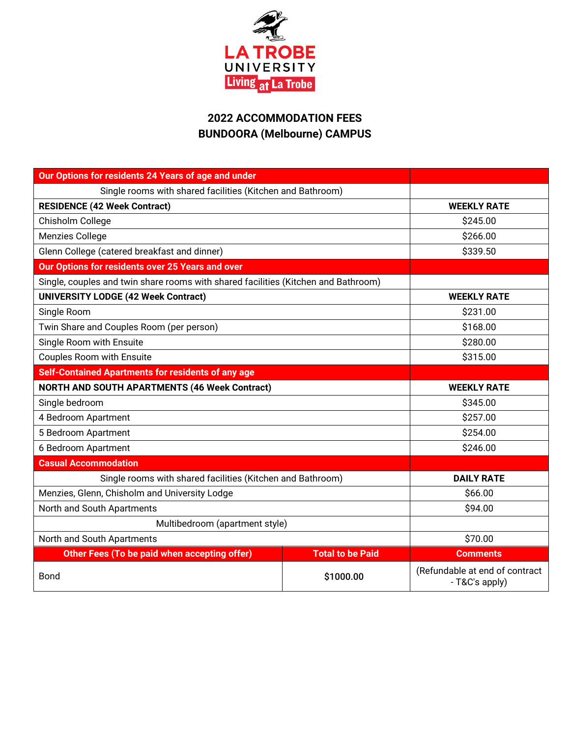

# **2022 ACCOMMODATION FEES BUNDOORA (Melbourne) CAMPUS**

| Our Options for residents 24 Years of age and under                                |                         |                                                  |
|------------------------------------------------------------------------------------|-------------------------|--------------------------------------------------|
| Single rooms with shared facilities (Kitchen and Bathroom)                         |                         |                                                  |
| <b>RESIDENCE (42 Week Contract)</b>                                                |                         | <b>WEEKLY RATE</b>                               |
| Chisholm College                                                                   |                         | \$245.00                                         |
| Menzies College                                                                    |                         | \$266.00                                         |
| Glenn College (catered breakfast and dinner)                                       |                         | \$339.50                                         |
| Our Options for residents over 25 Years and over                                   |                         |                                                  |
| Single, couples and twin share rooms with shared facilities (Kitchen and Bathroom) |                         |                                                  |
| <b>UNIVERSITY LODGE (42 Week Contract)</b>                                         |                         | <b>WEEKLY RATE</b>                               |
| Single Room                                                                        |                         | \$231.00                                         |
| Twin Share and Couples Room (per person)                                           |                         | \$168.00                                         |
| Single Room with Ensuite                                                           |                         | \$280.00                                         |
| <b>Couples Room with Ensuite</b>                                                   |                         | \$315.00                                         |
| Self-Contained Apartments for residents of any age                                 |                         |                                                  |
| <b>NORTH AND SOUTH APARTMENTS (46 Week Contract)</b>                               |                         | <b>WEEKLY RATE</b>                               |
| Single bedroom                                                                     |                         | \$345.00                                         |
| 4 Bedroom Apartment                                                                |                         | \$257.00                                         |
| 5 Bedroom Apartment                                                                |                         | \$254.00                                         |
| 6 Bedroom Apartment                                                                |                         | \$246.00                                         |
| <b>Casual Accommodation</b>                                                        |                         |                                                  |
| Single rooms with shared facilities (Kitchen and Bathroom)                         |                         | <b>DAILY RATE</b>                                |
| Menzies, Glenn, Chisholm and University Lodge                                      |                         | \$66.00                                          |
| North and South Apartments                                                         |                         | \$94.00                                          |
| Multibedroom (apartment style)                                                     |                         |                                                  |
| North and South Apartments                                                         |                         | \$70.00                                          |
| Other Fees (To be paid when accepting offer)                                       | <b>Total to be Paid</b> | <b>Comments</b>                                  |
| <b>Bond</b>                                                                        | \$1000.00               | (Refundable at end of contract<br>- T&C's apply) |